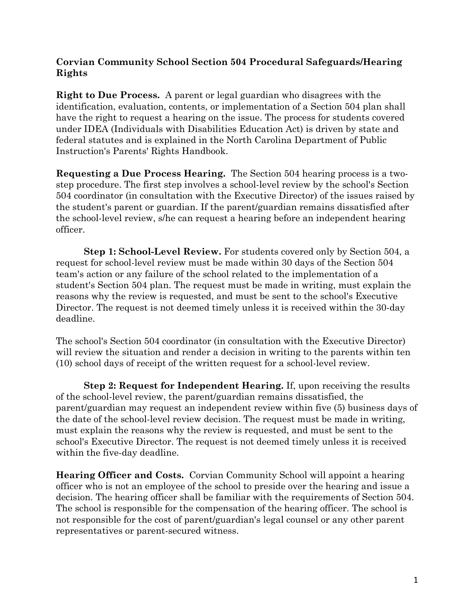## **Corvian Community School Section 504 Procedural Safeguards/Hearing Rights**

**Right to Due Process.** A parent or legal guardian who disagrees with the identification, evaluation, contents, or implementation of a Section 504 plan shall have the right to request a hearing on the issue. The process for students covered under IDEA (Individuals with Disabilities Education Act) is driven by state and federal statutes and is explained in the North Carolina Department of Public Instruction's Parents' Rights Handbook.

**Requesting a Due Process Hearing.** The Section 504 hearing process is a twostep procedure. The first step involves a school-level review by the school's Section 504 coordinator (in consultation with the Executive Director) of the issues raised by the student's parent or guardian. If the parent/guardian remains dissatisfied after the school-level review, s/he can request a hearing before an independent hearing officer.

**Step 1: School-Level Review.** For students covered only by Section 504, a request for school-level review must be made within 30 days of the Section 504 team's action or any failure of the school related to the implementation of a student's Section 504 plan. The request must be made in writing, must explain the reasons why the review is requested, and must be sent to the school's Executive Director. The request is not deemed timely unless it is received within the 30-day deadline.

The school's Section 504 coordinator (in consultation with the Executive Director) will review the situation and render a decision in writing to the parents within ten (10) school days of receipt of the written request for a school-level review.

**Step 2: Request for Independent Hearing.** If, upon receiving the results of the school-level review, the parent/guardian remains dissatisfied, the parent/guardian may request an independent review within five (5) business days of the date of the school-level review decision. The request must be made in writing, must explain the reasons why the review is requested, and must be sent to the school's Executive Director. The request is not deemed timely unless it is received within the five-day deadline.

**Hearing Officer and Costs.** Corvian Community School will appoint a hearing officer who is not an employee of the school to preside over the hearing and issue a decision. The hearing officer shall be familiar with the requirements of Section 504. The school is responsible for the compensation of the hearing officer. The school is not responsible for the cost of parent/guardian's legal counsel or any other parent representatives or parent-secured witness.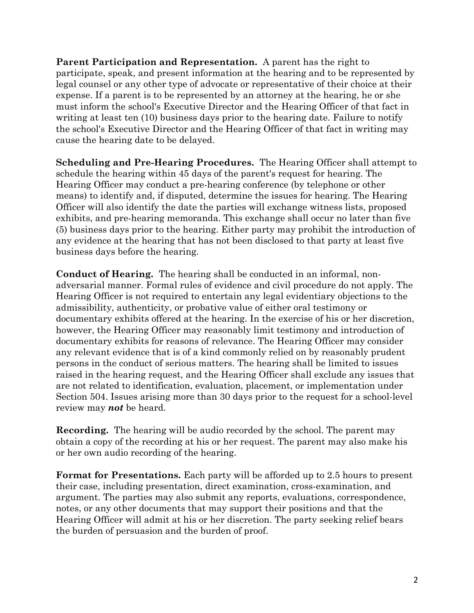**Parent Participation and Representation.** A parent has the right to participate, speak, and present information at the hearing and to be represented by legal counsel or any other type of advocate or representative of their choice at their expense. If a parent is to be represented by an attorney at the hearing, he or she must inform the school's Executive Director and the Hearing Officer of that fact in writing at least ten (10) business days prior to the hearing date. Failure to notify the school's Executive Director and the Hearing Officer of that fact in writing may cause the hearing date to be delayed.

**Scheduling and Pre-Hearing Procedures.** The Hearing Officer shall attempt to schedule the hearing within 45 days of the parent's request for hearing. The Hearing Officer may conduct a pre-hearing conference (by telephone or other means) to identify and, if disputed, determine the issues for hearing. The Hearing Officer will also identify the date the parties will exchange witness lists, proposed exhibits, and pre-hearing memoranda. This exchange shall occur no later than five (5) business days prior to the hearing. Either party may prohibit the introduction of any evidence at the hearing that has not been disclosed to that party at least five business days before the hearing.

**Conduct of Hearing.** The hearing shall be conducted in an informal, nonadversarial manner. Formal rules of evidence and civil procedure do not apply. The Hearing Officer is not required to entertain any legal evidentiary objections to the admissibility, authenticity, or probative value of either oral testimony or documentary exhibits offered at the hearing. In the exercise of his or her discretion, however, the Hearing Officer may reasonably limit testimony and introduction of documentary exhibits for reasons of relevance. The Hearing Officer may consider any relevant evidence that is of a kind commonly relied on by reasonably prudent persons in the conduct of serious matters. The hearing shall be limited to issues raised in the hearing request, and the Hearing Officer shall exclude any issues that are not related to identification, evaluation, placement, or implementation under Section 504. Issues arising more than 30 days prior to the request for a school-level review may *not* be heard.

**Recording.** The hearing will be audio recorded by the school. The parent may obtain a copy of the recording at his or her request. The parent may also make his or her own audio recording of the hearing.

**Format for Presentations.** Each party will be afforded up to 2.5 hours to present their case, including presentation, direct examination, cross-examination, and argument. The parties may also submit any reports, evaluations, correspondence, notes, or any other documents that may support their positions and that the Hearing Officer will admit at his or her discretion. The party seeking relief bears the burden of persuasion and the burden of proof.